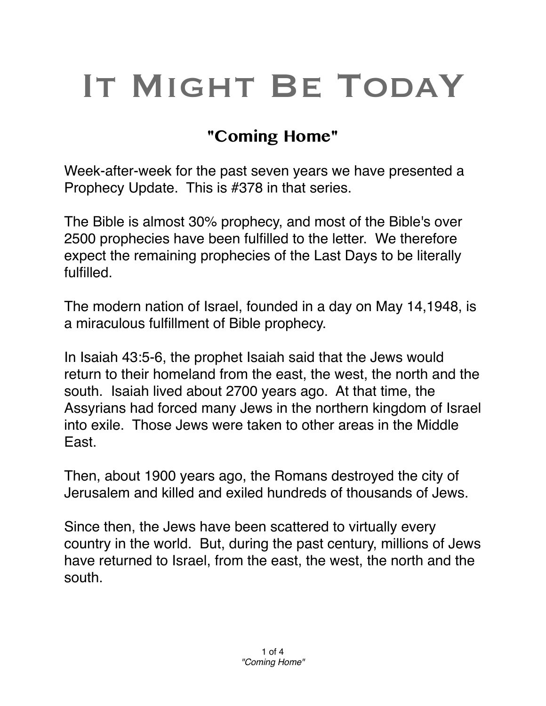## IT MIGHT BE TODAY

## **"Coming Home"**

Week-after-week for the past seven years we have presented a Prophecy Update. This is #378 in that series.

The Bible is almost 30% prophecy, and most of the Bible's over 2500 prophecies have been fulfilled to the letter. We therefore expect the remaining prophecies of the Last Days to be literally fulfilled.

The modern nation of Israel, founded in a day on May 14,1948, is a miraculous fulfillment of Bible prophecy.

In Isaiah 43:5-6, the prophet Isaiah said that the Jews would return to their homeland from the east, the west, the north and the south. Isaiah lived about 2700 years ago. At that time, the Assyrians had forced many Jews in the northern kingdom of Israel into exile. Those Jews were taken to other areas in the Middle East.

Then, about 1900 years ago, the Romans destroyed the city of Jerusalem and killed and exiled hundreds of thousands of Jews.

Since then, the Jews have been scattered to virtually every country in the world. But, during the past century, millions of Jews have returned to Israel, from the east, the west, the north and the south.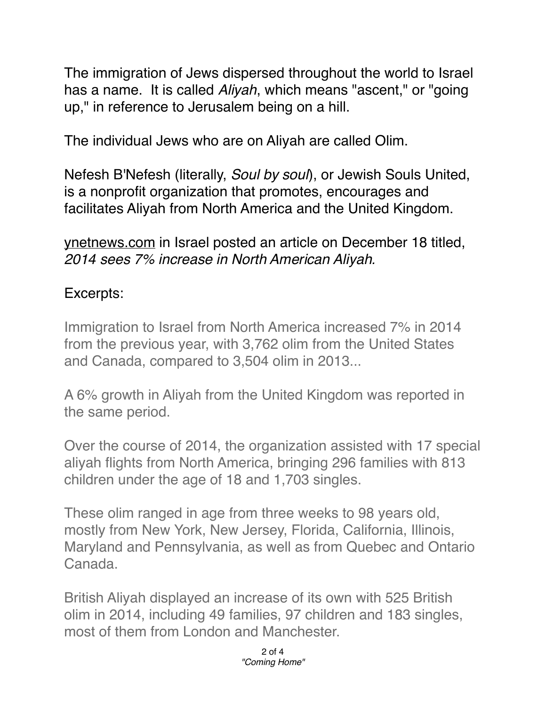The immigration of Jews dispersed throughout the world to Israel has a name. It is called *Aliyah*, which means "ascent," or "going up," in reference to Jerusalem being on a hill.

The individual Jews who are on Aliyah are called Olim.

Nefesh B'Nefesh (literally, *Soul by soul*), or Jewish Souls United, is a nonprofit organization that promotes, encourages and facilitates Aliyah from North America and the United Kingdom.

[ynetnews.com](http://ynetnews.com) in Israel posted an article on December 18 titled, *2014 sees 7% increase in North American Aliyah.*

## Excerpts:

Immigration to Israel from North America increased 7% in 2014 from the previous year, with 3,762 olim from the United States and Canada, compared to 3,504 olim in 2013...

A 6% growth in Aliyah from the United Kingdom was reported in the same period.

Over the course of 2014, the organization assisted with 17 special aliyah flights from North America, bringing 296 families with 813 children under the age of 18 and 1,703 singles.

These olim ranged in age from three weeks to 98 years old, mostly from New York, New Jersey, Florida, California, Illinois, Maryland and Pennsylvania, as well as from Quebec and Ontario Canada.

British Aliyah displayed an increase of its own with 525 British olim in 2014, including 49 families, 97 children and 183 singles, most of them from London and Manchester.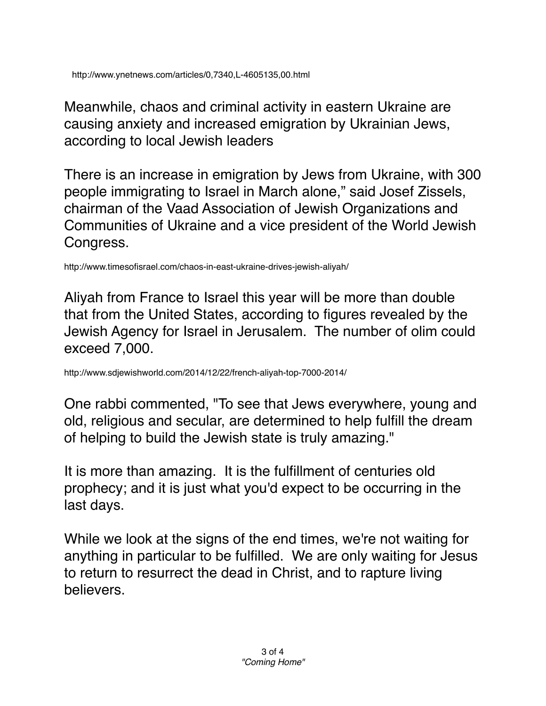Meanwhile, chaos and criminal activity in eastern Ukraine are causing anxiety and increased emigration by Ukrainian Jews, according to local Jewish leaders

There is an increase in emigration by Jews from Ukraine, with 300 people immigrating to Israel in March alone," said Josef Zissels, chairman of the Vaad Association of Jewish Organizations and Communities of Ukraine and a vice president of the World Jewish Congress.

http://www.timesofisrael.com/chaos-in-east-ukraine-drives-jewish-aliyah/

Aliyah from France to Israel this year will be more than double that from the United States, according to figures revealed by the Jewish Agency for Israel in Jerusalem. The number of olim could exceed 7,000.

http://www.sdjewishworld.com/2014/12/22/french-aliyah-top-7000-2014/

One rabbi commented, "To see that Jews everywhere, young and old, religious and secular, are determined to help fulfill the dream of helping to build the Jewish state is truly amazing."

It is more than amazing. It is the fulfillment of centuries old prophecy; and it is just what you'd expect to be occurring in the last days.

While we look at the signs of the end times, we're not waiting for anything in particular to be fulfilled. We are only waiting for Jesus to return to resurrect the dead in Christ, and to rapture living believers.